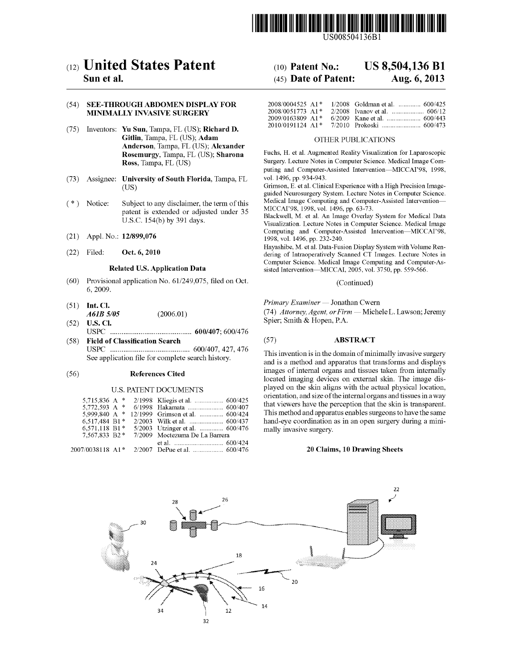

US008504136Bl

# c12) **United States Patent**

### **Sun et al.**

#### (54) **SEE-THROUGH ABDOMEN DISPLAY FOR MINIMALLY INVASIVE SURGERY**

- (75) Inventors: **Yu Sun,** Tampa, FL (US); **Richard D. Gitlin,** Tampa, FL (US); **Adam Anderson,** Tampa, FL (US); **Alexander Rosemurgy,** Tampa, FL (US); **Sharona Ross,** Tampa, FL (US)
- (73) Assignee: **University of South Florida,** Tampa, FL (US)
- ( \*) Notice: Subject to any disclaimer, the term of this patent is extended or adjusted under 35 U.S.C. 154(b) by 391 days.
- (21) Appl. No.: **12/899,076**
- (22) Filed: **Oct. 6, 2010**

#### **Related U.S. Application Data**

- (60) Provisional application No. 61/249,075, filed on Oct. 6, 2009.
- (51) **Int. Cl.**  *A61B 5105*  (2006.01)
- (52) **U.S. Cl.**  USPC ........................................... **600/407;** 600/476
- (58) **Field of Classification Search**  USPC .......................................... 600/407, 427, 476 See application file for complete search history.

#### (56) **References Cited**

#### U.S. PATENT DOCUMENTS

| 5.715.836 A $*$  |                                 |
|------------------|---------------------------------|
| 5,772,593 A $*$  | 6/1998 Hakamata  600/407        |
| 5,999,840 A *    | 12/1999 Grimson et al.  600/424 |
| 6.517.484 B1*    |                                 |
| $6.571.118 B1*$  | 5/2003 Utzinger et al.  600/476 |
| 7.567.833 B2*    | 7/2009 Moctezuma De La Barrera  |
|                  |                                 |
| 2007/0038118 A1* |                                 |

# (10) **Patent No.: US 8,504,136 Bl**

## (45) **Date of Patent: Aug. 6, 2013**

| $2008/0004525$ A <sub>1</sub> * | $1/2008$ Goldman et al.  600/425 |
|---------------------------------|----------------------------------|
| $2008/0051773$ A <sub>1</sub> * |                                  |
| $2009/0163809$ A <sub>1</sub> * |                                  |
| $2010/0191124$ A1*              |                                  |

#### OTHER PUBLICATIONS

Fuchs, H. et a!. Augmented Reality Visualization for Laparoscopic Surgery. Lecture Notes in Computer Science. Medical Image Computing and Computer-Assisted Intervention-MICCAI'98, 1998, vol. 1496, pp. 934-943.

Grimson, E. et al. Clinical Experience with a High Precision Imageguided Neurosurgery System. Lecture Notes in Computer Science. Medical Image Computing and Computer-Assisted Intervention-MICCAI'98, 1998, vol. 1496, pp. 63-73.

Blackwell, M. et al. An Image Overlay System for Medical Data Visualization. Lecture Notes in Computer Science. Medical Image Computing and Computer-Assisted Intervention-MICCAI'98, 1998, vol. 1496, pp. 232-240.

Hayashibe, M. et al. Data-Fusion Display System with Volume Rendering of Intraoperatively Scanned CT Images. Lecture Notes in Computer Science. Medical Image Computing and Computer-Assisted Intervention-MICCAI, 2005, vol. 3750, pp. 559-566.

#### (Continued)

*Primary Examiner-* Jonathan Cwern

(74) Attorney, Agent, or Firm - Michele L. Lawson; Jeremy Spier; Smith & Hopen, P.A.

#### (57) **ABSTRACT**

This invention is in the domain of minimally invasive surgery and is a method and apparatus that transforms and displays images of internal organs and tissues taken from internally located imaging devices on external skin. The image displayed on the skin aligns with the actual physical location, orientation, and size of the internal organs and tissues in a way that viewers have the perception that the skin is transparent. This method and apparatus enables surgeons to have the same hand-eye coordination as in an open surgery during a minimally invasive surgery.

#### **20 Claims, 10 Drawing Sheets**

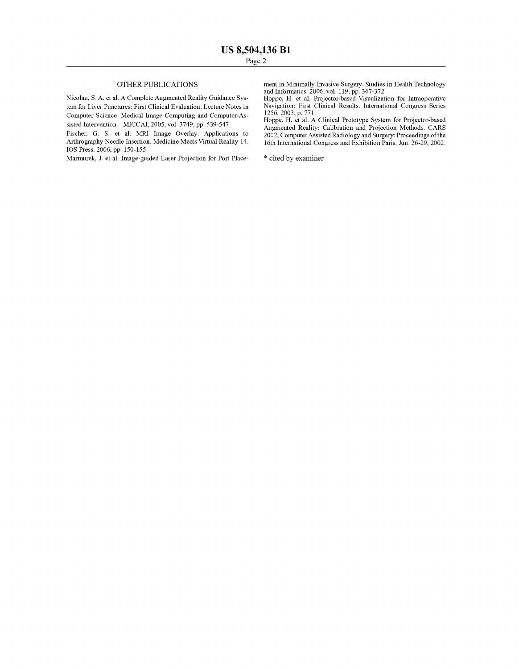#### OTHER PUBLICATIONS

Nicolau, S. A. et al. A Complete Augmented Reality Guidance System for Liver Punctures: First Clinical Evaluation. Lecture Notes in Computer Science. Medical Image Computing and Computer-Assisted Intervention-MICCAI, 2005, vol. 3749, pp. 539-547.

Fischer, G. S. et al. MRI Image Overlay: Applications to Arthrography Needle Insertion. Medicine Meets Virtual Reality 14. lOS Press, 2006, pp. 150-155.

Marmurek, J. et al. Image-guided Laser Projection for Port Place-

ment in Minimally Invasive Surgery. Studies in Health Technology and Informatics. 2006, vol. 119, pp. 367-372.

Hoppe, H. et a!. Projector-based Visualization for Intraoperative Navigation: First Clinical Results. International Congress Series 1256, 2003, p. 771.

Hoppe, H. et al. A Clinical Prototype System for Projector-based Augmented Reality: Calibration and Projection Methods. CARS 2002; Computer Assisted Radiology and Surgery: Proceedings of the 16th International Congress and Exhibition Paris, Jun. 26-29, 2002.

\* cited by examiner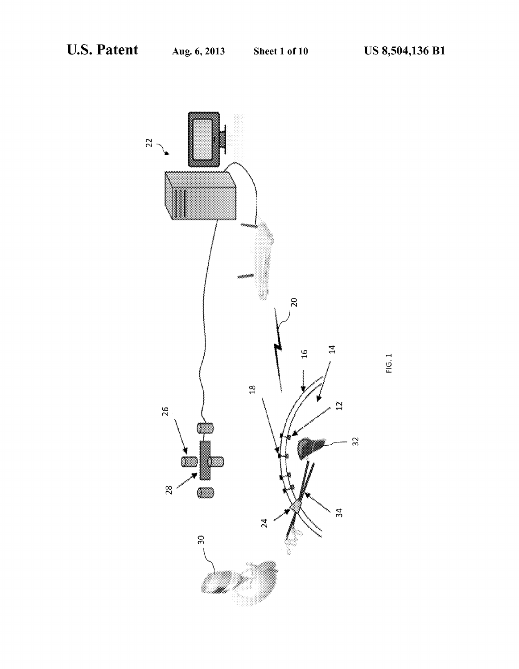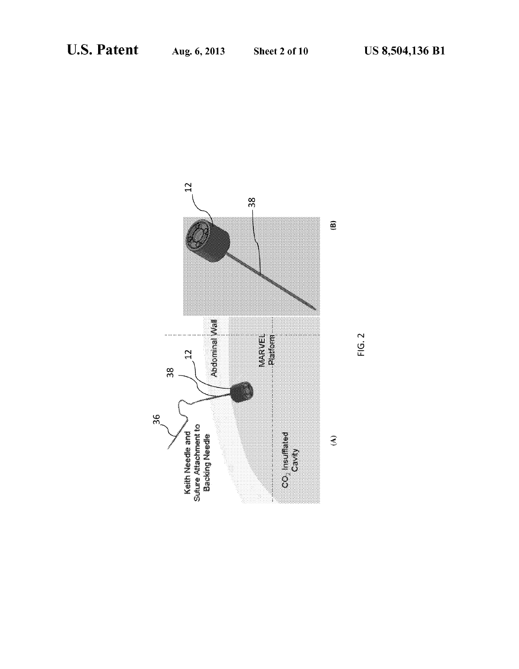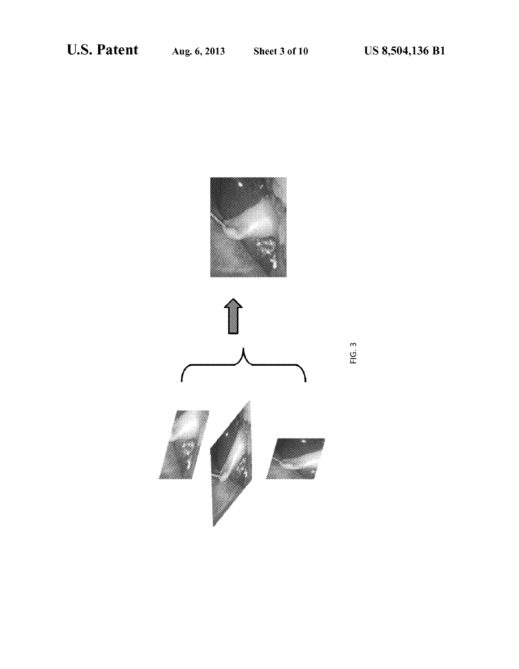

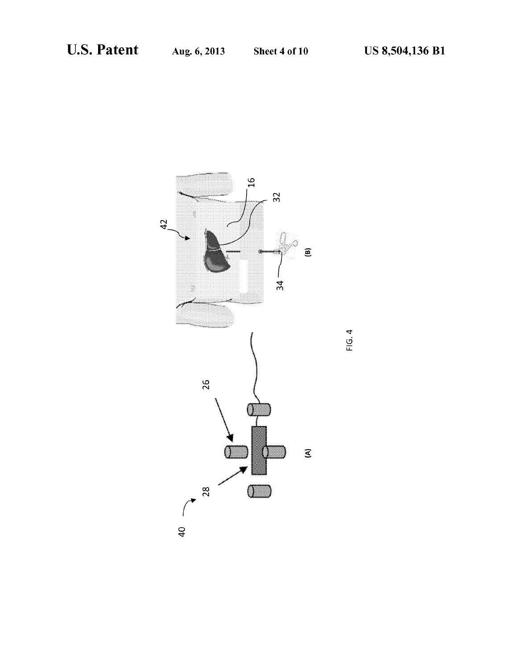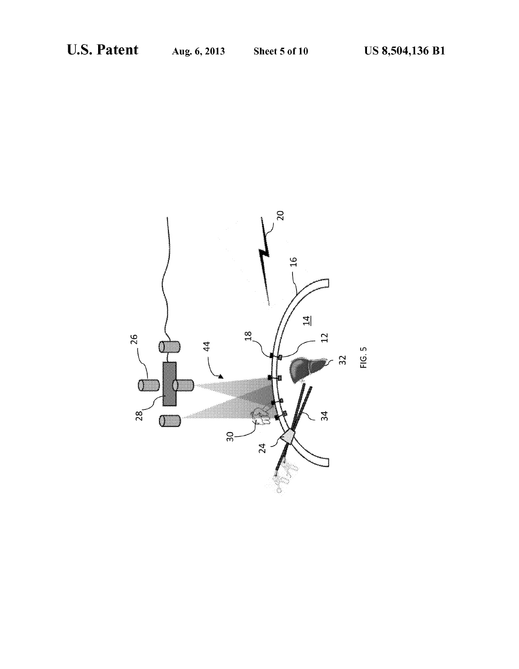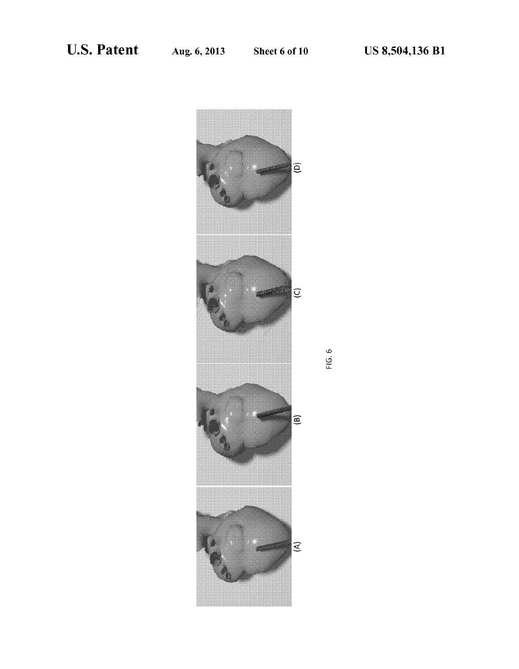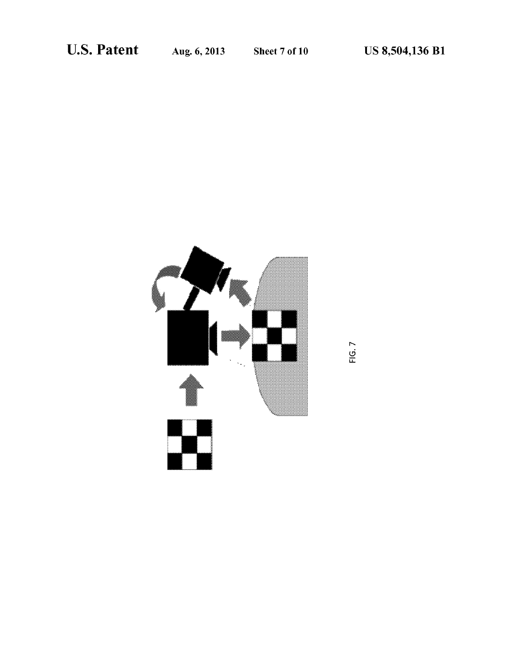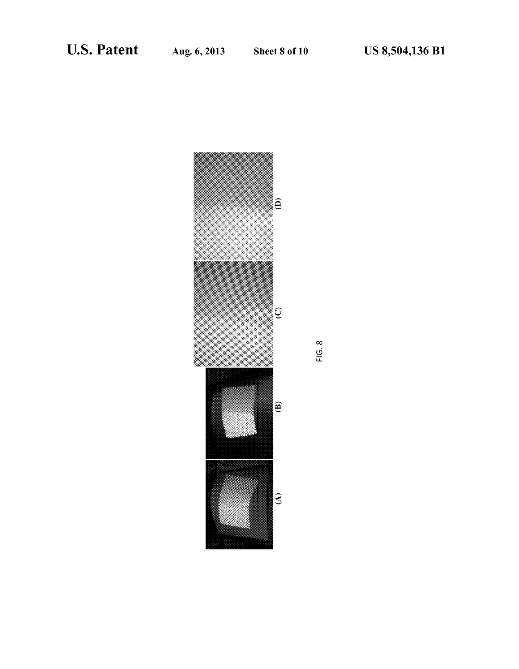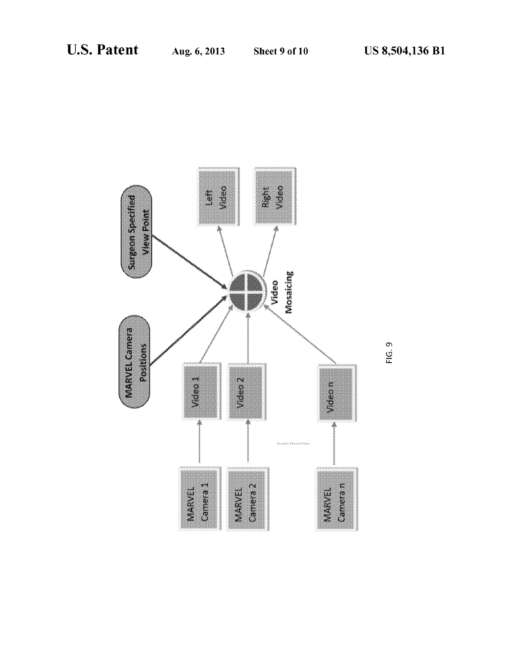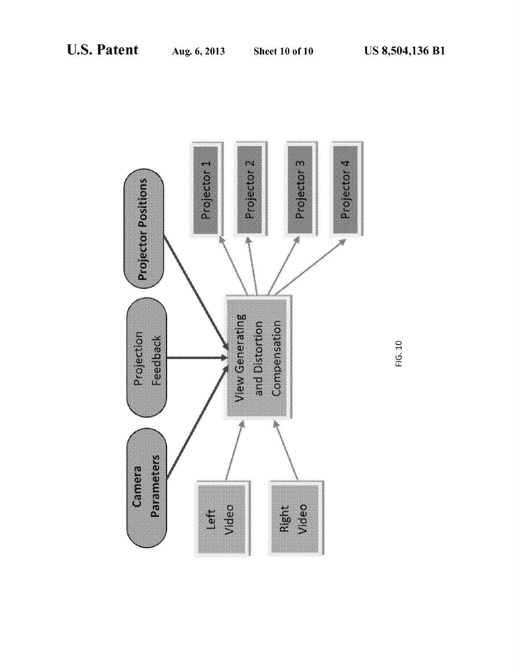

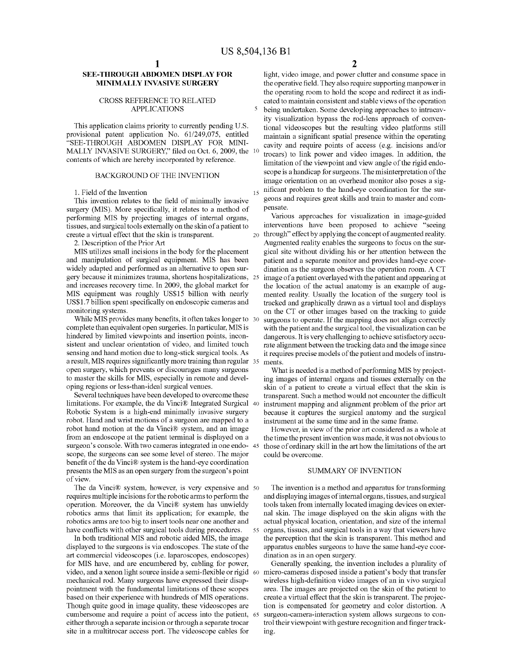5

### **SEE-THROUGH ABDOMEN DISPLAY FOR MINIMALLY INVASIVE SURGERY**

#### CROSS REFERENCE TO RELATED APPLICATIONS

This application claims priority to currently pending U.S. provisional patent application No. 61/249,075, entitled "SEE-THROUGH ABDOMEN DISPLAY FOR MINI-MALLY INVASIVE SURGERY," filed on Oct. 6, 2009, the 10 contents of which are hereby incorporated by reference.

#### BACKGROUND OF THE INVENTION

1. Field of the Invention

This invention relates to the field of minimally invasive surgery (MIS). More specifically, it relates to a method of performing MIS by projecting images of internal organs, tissues, and surgical tools externally on the skin of a patient to create a virtual effect that the skin is transparent.

2. Description of the Prior Art

MIS utilizes small incisions in the body for the placement and manipulation of surgical equipment. MIS has been widely adapted and performed as an alternative to open surgery because it minimizes trauma, shortens hospitalizations, 25 and increases recovery time. In 2009, the global market for MIS equipment was roughly US\$15 billion with nearly US\$1.7 billion spent specifically on endoscopic cameras and monitoring systems.

While MIS provides many benefits, it often takes longer to 30 complete than equivalent open surgeries. In particular, MIS is hindered by limited viewpoints and insertion points, inconsistent and unclear orientation of video, and limited touch sensing and hand motion due to long-stick surgical tools. As a result, MIS requires significantly more training than regular 35 open surgery, which prevents or discourages many surgeons to master the skills for MIS, especially in remote and developing regions or less-than-ideal surgical venues.

Several techniques have been developed to overcome these limitations. For example, the da Vinci® Integrated Surgical 40 Robotic System is a high-end minimally invasive surgery robot. Hand and wrist motions of a surgeon are mapped to a robot hand motion at the da Vinci® system, and an image from an endoscope at the patient terminal is displayed on a surgeon's console. With two cameras integrated in one endo- 45 scope, the surgeons can see some level of stereo. The major benefit of the da Vinci® system is the hand-eye coordination presents the MIS as an open surgery from the surgeon's point of view.

The da Vinci® system, however, is very expensive and 50 requires multiple incisions for the robotic arms to perform the operation. Moreover, the da Vinci® system has unwieldy robotics arms that limit its application; for example, the robotics arms are too big to insert tools near one another and

In both traditional MIS and robotic aided MIS, the image displayed to the surgeons is via endoscopes. The state of the art commercial video scopes (i.e. laparoscopes, endoscopes) for MIS have, and are encumbered by, cabling for power, video, and a xenon light source inside a semi-flexible or rigid 60 mechanical rod. Many surgeons have expressed their disappointment with the fundamental limitations of these scopes based on their experience with hundreds of MIS operations. Though quite good in image quality, these videoscopes are cumbersome and require a point of access into the patient, either through a separate incision or through a separate trocar site in a multitrocar access port. The videoscope cables for

**2** 

light, video image, and power clutter and consume space in the operative field. They also require supporting manpower in the operating room to hold the scope and redirect it as indicated to maintain consistent and stable views of the operation being undertaken. Some developing approaches to intracavity visualization bypass the rod-lens approach of conventional videoscopes but the resulting video platforms still maintain a significant spatial presence within the operating cavity and require points of access (e.g. incisions and/or trocars) to link power and video images. In addition, the limitation of the viewpoint and view angle of the rigid endoscope is a handicap for surgeons. The misinterpretation of the image orientation on an overhead monitor also poses a sig-<sub>15</sub> nificant problem to the hand-eye coordination for the surgeons and requires great skills and train to master and compensate.

Various approaches for visualization in image-guided interventions have been proposed to achieve "seeing 20 through" effect by applying the concept of augmented reality. Augmented reality enables the surgeons to focus on the surgical site without dividing his or her attention between the patient and a separate monitor and provides hand-eye coordination as the surgeon observes the operation room. A CT image of a patient overlayed with the patient and appearing at the location of the actual anatomy is an example of augmented reality. Usually the location of the surgery tool is tracked and graphically drawn as a virtual tool and displays on the CT or other images based on the tracking to guide surgeons to operate. If the mapping does not align correctly with the patient and the surgical tool, the visualization can be dangerous. It is very challenging to achieve satisfactory accurate alignment between the tracking data and the image since it requires precise models of the patient and models of instruments.

What is needed is a method of performing MIS by projecting images of internal organs and tissues externally on the skin of a patient to create a virtual effect that the skin is transparent. Such a method would not encounter the difficult instrument mapping and alignment problem of the prior art because it captures the surgical anatomy and the surgical instrument at the same time and in the same frame.

However, in view of the prior art considered as a whole at the time the present invention was made, it was not obvious to those of ordinary skill in the art how the limitations of the art could be overcome.

#### SUMMARY OF INVENTION

The invention is a method and apparatus for transforming and displaying images of internal organs, tissues, and surgical tools taken from internally located imaging devices on external skin. The image displayed on the skin aligns with the actual physical location, orientation, and size of the internal have conflicts with other surgical tools during procedures. 55 organs, tissues, and surgical tools in a way that viewers have the perception that the skin is transparent. This method and apparatus enables surgeons to have the same hand-eye coordination as in an open surgery.

> Generally speaking, the invention includes a plurality of micro-cameras disposed inside a patient's body that transfer wireless high-definition video images of an in vivo surgical area. The images are projected on the skin of the patient to create a virtual effect that the skin is transparent. The projection is compensated for geometry and color distortion. A surgeon-camera-interaction system allows surgeons to control their viewpoint with gesture recognition and finger tracking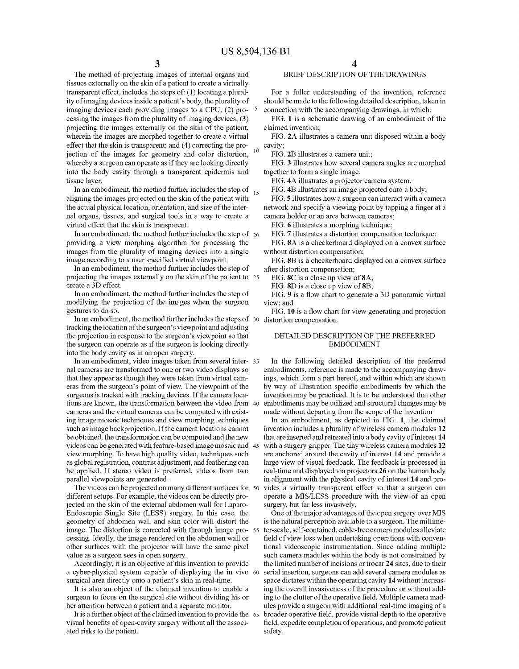The method of projecting images of internal organs and tissues externally on the skin of a patient to create a virtually transparent effect, includes the steps of: (1) locating a plurality of imaging devices inside a patient's body, the plurality of imaging devices each providing images to a CPU; (2) pro- $5$ cessing the images from the plurality of imaging devices; (3) projecting the images externally on the skin of the patient, wherein the images are morphed together to create a virtual effect that the skin is transparent; and (4) correcting the proerfect that the shift is during the  $(1)$  correcting the pro-<br>jection of the images for geometry and color distortion,  $10$ whereby a surgeon can operate as if they are looking directly into the body cavity through a transparent epidermis and tissue layer.

In an embodiment, the method further includes the step of  $_{15}$ aligning the images projected on the skin of the patient with the actual physical location, orientation, and size of the internal organs, tissues, and surgical tools in a way to create a virtual effect that the skin is transparent.

In an embodiment, the method further includes the step of  $_{20}$ providing a view morphing algorithm for processing the images from the plurality of imaging devices into a single image according to a user specified virtual viewpoint.

In an embodiment, the method further includes the step of projecting the images externally on the skin of the patient to 25 create a 3D effect.

In an embodiment, the method further includes the step of modifYing the projection of the images when the surgeon gestures to do so.

In an embodiment, the method further includes the steps of 30 distortion compensation. tracking the location of the surgeon's viewpoint and adjusting the projection in response to the surgeon's viewpoint so that the surgeon can operate as if the surgeon is looking directly into the body cavity as in an open surgery.

In an embodiment, video images taken from several inter- 35 nal cameras are transformed to one or two video displays so that they appear as though they were taken from virtual cameras from the surgeon's point of view. The viewpoint of the surgeons is tracked with tracking devices. If the camera locations are known, the transformation between the video from 40 cameras and the virtual cameras can be computed with existing image mosaic techniques and view morphing techniques such as image backprojection. If the camera locations cannot be obtained, the transformation can be computed and the new videos can be generated with feature-based image mosaic and 45 view morphing. To have high quality video, techniques such as global registration, contrast adjustment, and feathering can be applied. If stereo video is preferred, videos from two parallel viewpoints are generated.

The videos can be projected on many different surfaces for 50 different setups. For example, the videos can be directly projected on the skin of the external abdomen wall for Laparo-Endoscopic Single Site (LESS) surgery. In this case, the geometry of abdomen wall and skin color will distort the image. The distortion is corrected with through image pro- 55 cessing. Ideally, the image rendered on the abdomen wall or other surfaces with the projector will have the same pixel value as a surgeon sees in open surgery.

Accordingly, it is an objective of this invention to provide a cyber-physical system capable of displaying the in vivo 60 surgical area directly onto a patient's skin in real-time.

It is also an object of the claimed invention to enable a surgeon to focus on the surgical site without dividing his or her attention between a patient and a separate monitor.

It is a further object of the claimed invention to provide the 65 visual benefits of open-cavity surgery without all the associated risks to the patient.

### BRIEF DESCRIPTION OF THE DRAWINGS

For a fuller understanding of the invention, reference should be made to the following detailed description, taken in connection with the accompanying drawings, in which:

FIG. **1** is a schematic drawing of an embodiment of the claimed invention;

FIG. 2A illustrates a camera unit disposed within a body cavity;

FIG. 2B illustrates a camera unit;

FIG. 3 illustrates how several camera angles are morphed together to form a single image;

FIG. 4A illustrates a projector camera system;

FIG. 4B illustrates an image projected onto a body;

FIG. 5 illustrates how a surgeon can interact with a camera network and specify a viewing point by tapping a finger at a camera holder or an area between cameras;

FIG. 6 illustrates a morphing technique;

FIG. 7 illustrates a distortion compensation technique;

FIG. *SA* is a checkerboard displayed on a convex surface without distortion compensation;

FIG. SB is a checkerboard displayed on a convex surface after distortion compensation;

FIG. *SC* is a close up view of *SA;* 

FIG. **8D** is a close up view of **8B**;

FIG. 9 is a flow chart to generate a 3D panoramic virtual view; and

FIG. **10** is a flow chart for view generating and projection

### DETAILED DESCRIPTION OF THE PREFERRED EMBODIMENT

In the following detailed description of the preferred embodiments, reference is made to the accompanying drawings, which form a part hereof, and within which are shown by way of illustration specific embodiments by which the invention may be practiced. It is to be understood that other embodiments may be utilized and structural changes may be made without departing from the scope of the invention

In an embodiment, as depicted in FIG. **1,** the claimed invention includes a plurality of wireless camera modules **12**  that are inserted and retreated into a body cavity of interest **14**  with a surgery gripper. The tiny wireless camera modules **12**  are anchored around the cavity of interest **14** and provide a large view of visual feedback. The feedback is processed in real-time and displayed via projectors 26 on the human body in alignment with the physical cavity of interest **14** and provides a virtually transparent effect so that a surgeon can operate a MIS/LESS procedure with the view of an open surgery, but far less invasively.

One of the major advantages of the open surgery over MIS is the natural perception available to a surgeon. The millimeter-scale, self-contained, cable-free camera modules alleviate field of view loss when undertaking operations with conventional videoscopic instrumentation. Since adding multiple such camera madules within the body is not constrained by the limited number of incisions or trocar **24** sites, due to their serial insertion, surgeons can add several camera modules as space dictates within the operating cavity **14** without increasing the overall invasiveness of the procedure or without adding to the clutter of the operative field. Multiple camera madules provide a surgeon with additional real-time imaging of a broader operative field, provide visual depth to the operative field, expedite completion of operations, and promote patient safety.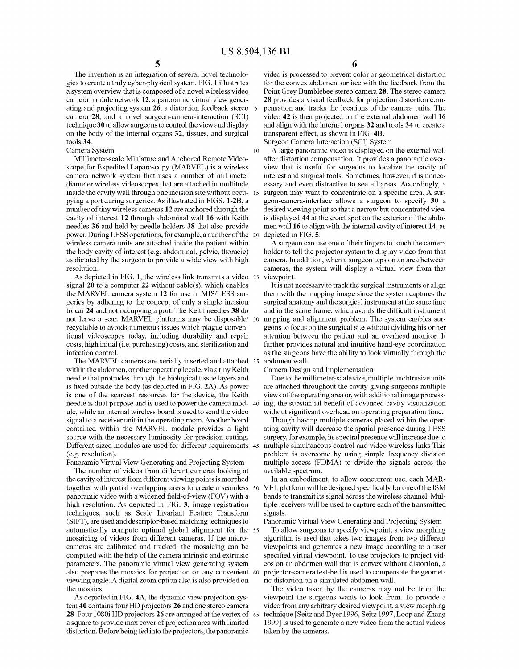The invention is an integration of several novel technologies to create a truly cyber-physical system. FIG. **1** illustrates a system overview that is composed of a novel wireless video camera module network 12, a panoramic virtual view generating and projecting system 26, a distortion feedback stereo camera 28, and a novel surgeon-camera-interaction (SCI) technique 30 to allow surgeons to control the view and display on the body of the internal organs 32, tissues, and surgical tools 34.

Camera System 10

Millimeter-scale Miniature and Anchored Remote Videoscope for Expedited Laparoscopy (MARVEL) is a wireless camera network system that uses a number of millimeter diameter wireless videoscopes that are attached in multitude inside the cavity wall through one incision site without occupying a port during surgeries. As illustrated in FIGS. 1-2B, a number of tiny wireless cameras 12 are anchored through the cavity of interest 12 through abdominal wall 16 with Keith needles 36 and held by needle holders 38 that also provide power. During LESS operations, for example, a number of the wireless camera units are attached inside the patient within the body cavity of interest (e.g. abdominal, pelvic, thoracic) as dictated by the surgeon to provide a wide view with high resolution.

As depicted in FIG. **1,** the wireless link transmits a video 25 signal 20 to a computer 22 without cable(s), which enables the MARVEL camera system 12 for use in MIS/LESS surgeries by adhering to the concept of only a single incision trocar 24 and not occupying a port. The Keith needles 38 do not leave a scar. MARVEL platforms may be disposable/ 30 recyclable to avoids numerous issues which plague conventional videoscopes today, including durability and repair costs, high initial (i.e. purchasing) costs, and sterilization and infection control.

The MARVEL cameras are serially inserted and attached 35 within the abdomen, or other operating locale, via a tiny Keith needle that protrudes through the biological tissue layers and is fixed outside the body (as depicted in FIG. 2A). As power is one of the scarcest resources for the device, the Keith needle is dual purpose and is used to power the camera mod- 40 ule, while an internal wireless board is used to send the video signal to a receiver unit in the operating room. Another board contained within the MARVEL module provides a light source with the necessary luminosity for precision cutting. Different sized modules are used for different requirements 45 (e.g. resolution).

Panoramic Virtual View Generating and Projecting System The number of videos from different cameras looking at the cavity of interest from different viewing points is morphed together with partial overlapping areas to create a seamless 50 panoramic video with a widened field-of-view (FOV) with a high resolution. As depicted in FIG. 3, image registration techniques, such as Scale Invariant Feature Transform (SIFT), are used and descriptor-based matching techniques to automatically compute optimal global alignment for the 55 mosaicing of videos from different cameras. If the microcameras are calibrated and tracked, the mosaicing can be computed with the help of the camera intrinsic and extrinsic parameters. The panoramic virtual view generating system also prepares the mosaics for projection on any convenient 60 viewing angle. A digital zoom option also is also provided on the mosaics.

As depicted in FIG. 4A, the dynamic view projection system 40 contains four HD projectors 26 and one stereo camera 28. Four 1080i HD projectors 26 are arranged at the vertex of 65 a square to provide max cover of projection area with limited distortion. Before being fed into the projectors, the panoramic

**6** 

video is processed to prevent color or geometrical distortion for the convex abdomen surface with the feedback from the Point Grey Bumblebee stereo camera 28. The stereo camera 28 provides a visual feedback for projection distortion compensation and tracks the locations of the camera units. The video 42 is then projected on the external abdomen wall 16 and align with the internal organs 32 and tools 34 to create a transparent effect, as shown in FIG. 4B.

Surgeon Camera Interaction (SCI) System

A large panoramic video is displayed on the external wall after distortion compensation. It provides a panoramic overview that is useful for surgeons to localize the cavity of interest and surgical tools. Sometimes, however, it is unnecessary and even distractive to see all areas. Accordingly, a surgeon may want to concentrate on a specific area. A surgeon-camera-interface allows a surgeon to specify 30 a desired viewing point so that a narrow but concentrated view is displayed **44** at the exact spot on the exterior of the abdomen wall 16 to align with the internal cavity of interest 14, as depicted in FIG. 5.

A surgeon can use one of their fingers to touch the camera holder to tell the projector system to display video from that camera. In addition, when a surgeon taps on an area between cameras, the system will display a virtual view from that viewpoint.

It is not necessary to track the surgical instruments or align them with the mapping image since the system captures the surgical anatomy and the surgical instrument at the same time and in the same frame, which avoids the difficult instrument mapping and alignment problem. The system enables surgeons to focus on the surgical site without dividing his or her attention between the patient and an overhead monitor. It further provides natural and intuitive hand-eye coordination as the surgeons have the ability to look virtually through the abdomen wall.

Camera Design and Implementation

Due to the millimeter-scale size, multiple unobtrusive units are attached throughout the cavity giving surgeons multiple views of the operating area or, with additional image processing, the substantial benefit of advanced cavity visualization without significant overhead on operating preparation time.

Though having multiple cameras placed within the operating cavity will decrease the spatial presence during LESS surgery, for example, its spectral presence will increase due to multiple simultaneous control and video wireless links This problem is overcome by using simple frequency division multiple-access (FDMA) to divide the signals across the available spectrum.

In an embodiment, to allow concurrent use, each MAR-VEL platform will be designed specifically for one of the ISM bands to transmit its signal across the wireless channel. Multiple receivers will be used to capture each of the transmitted signals.

Panoramic Virtual View Generating and Projecting System

To allow surgeons to specify viewpoint, a view morphing algorithm is used that takes two images from two different viewpoints and generates a new image according to a user specified virtual viewpoint. To use projectors to project videos on an abdomen wall that is convex without distortion, a projector-camera test-bed is used to compensate the geometric distortion on a simulated abdomen wall.

The video taken by the cameras may not be from the viewpoint the surgeons wants to look from. To provide a video from any arbitrary desired viewpoint, a view morphing technique [Seitz and Dyer 1996, Seitz 1997, Loop and Zhang 1999] is used to generate a new video from the actual videos taken by the cameras.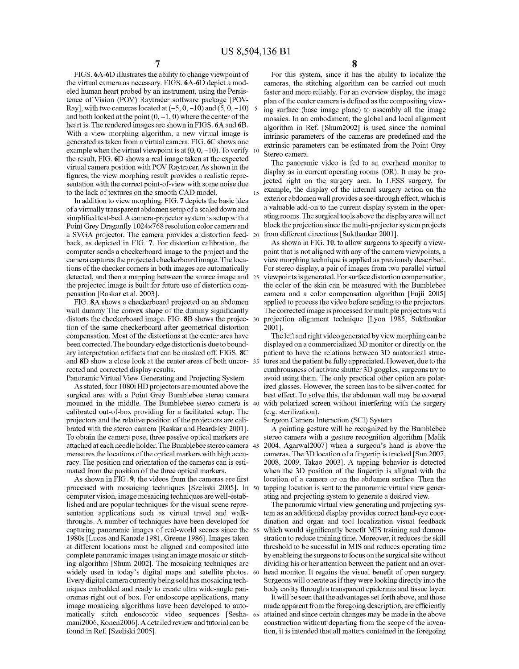FIGS. 6A-6D illustrates the ability to change viewpoint of the virtual camera as necessary. FIGS. 6A-6D depict a modeled human heart probed by an instrument, using the Persistence of Vision (POV) Raytracer software package [POV-Ray], with two cameras located at  $(-5, 0, -10)$  and  $(5, 0, -10)$  5 and both looked at the point  $(0, -1, 0)$  where the center of the heart is. The rendered images are shown in FIGS. 6A and 6B. With a view morphing algorithm, a new virtual image is generated as taken from a virtual camera. FIG. 6C shows one example when the virtual viewpoint is at  $(0, 0, -10)$ . To verify the result, FIG. 6D shows a real image taken at the expected virtual camera position with POV Raytracer. As shown in the figures, the view morphing result provides a realistic representation with the correct point-of-view with some noise due to the lack of textures on the smooth CAD model.

In addition to view morphing, FIG. 7 depicts the basic idea of a virtually transparent abdomen setup of a scaled down and simplified test-bed. A camera-projector system is setup with a Point Grey Dragonfly 1024×768 resolution color camera and a SVGA projector. The camera provides a distortion feedback, as depicted in FIG. 7. For distortion calibration, the computer sends a checkerboard image to the project and the camera captures the projected checkerboard image. The locations of the checker comers in both images are automatically detected, and then a mapping between the source image and 25 the projected image is built for future use of distortion compensation [Raskar et al. 2003].

FIG. *SA* shows a checkerboard projected on an abdomen wall dummy The convex shape of the dummy significantly distorts the checkerboard image. FIG. 8B shows the projec- 30 tion of the same checkerboard after geometrical distortion compensation. Most of the distortions at the center area have been corrected. The boundary edge distortion is due to boundary interpretation artifacts that can be masked off. FIGS. *SC*  and *SD* show a close look at the center areas of both uncor- <sup>35</sup> rected and corrected display results.

Panoramic Virtual View Generating and Projecting System As stated, four 1080i HD projectors are mounted above the surgical area with a Point Grey Bumblebee stereo camera mounted in the middle. The Bumblebee stereo camera is calibrated out-of-box providing for a facilitated setup. The projectors and the relative position of the projectors are calibrated with the stereo camera [Raskar and Beardsley 2001]. To obtain the camera pose, three passive optical markers are stereo camera with a gesture recognition algorithm [Malik attached at each needle holder. The Bumblebee stereo camera measures the locations of the optical markers with high accuracy. The position and orientation of the cameras can is estimated from the position of the three optical markers.

processed with mosaicing techniques [Szeliski 2005]. In 50 computer vision, image mosaicing techniques are well-established and are popular techniques for the visual scene representation applications such as virtual travel and walkthroughs. A number of techniques have been developed for capturing panoramic images of real-world scenes since the 55 1980s [Lucas and Kanade 1981, Greene 1986]. Images taken at different locations must be aligned and composited into complete panoramic images using an image mosaic or stitching algorithm [Shum 2002]. The mosaicing techniques are widely used in today's digital maps and satellite photos. 60 Every digital camera currently being sold has mosaicing techniques embedded and ready to create ultra wide-angle panoramas right out of box. For endoscope applications, many image mosaicing algorithms have been developed to automatically stitch endoscopic video sequences [Sesha- 65 mani2006, Konen2006]. A detailed review and tutorial can be found in Ref. [Szeliski 2005].

 $7$  8

For this system, since it has the ability to localize the cameras, the stitching algorithm can be carried out much faster and more reliably. For an overview display, the image plan of the center camera is defined as the compositing viewing surface (base image plane) to assembly all the image mosaics. In an embodiment, the global and local aligument algorithm in Ref. [Shum2002] is used since the nominal intrinsic parameters of the cameras are predefined and the extrinsic parameters can be estimated from the Point Grey 10 Stereo camera.

The panoramic video is fed to an overhead monitor to display as in current operating rooms (OR). It may be projected right on the surgery area. In LESS surgery, for example, the display of the internal surgery action on the exterior abdomen wall provides a see-through effect, which is a valuable add-on to the current display system in the operating rooms. The surgical tools above the display area will not block the projection since the multi-projector system projects from different directions [Sukthankar 2001].

As shown in FIG. 10, to allow surgeons to specify a viewpoint that is not aligned with any of the camera viewpoints, a view morphing technique is applied as previously described. For stereo display, a pair of images from two parallel virtual viewpoints is generated. For surface distortion compensation, the color of the skin can be measured with the Bumblebee camera and a color compensation algorithm [Fujii 2005] applied to process the video before sending to the projectors. The corrected image is processed for multiple projectors with projection aligmnent technique [Lyon 1985, Sukthankar 2001].

The left and right video generated by view morphing can be displayed on a commercialized 3D monitor or directly on the patient to have the relations between 3D anatomical structures and the patient be fully appreciated. However, due to the cumbrousness of activate shutter 3D goggles, surgeons try to avoid using them. The only practical other option are polarized glasses. However, the screen has to be silver-coated for best effect. To solve this, the abdomen wall may be covered with polarized screen without interfering with the surgery (e.g. sterilization).

Surgeon Camera Interaction (SCI) System

A pointing gesture will be recognized by the Bumblebee 2004, Agarwal2007] when a surgeon's hand is above the cameras. The 3D location of a fingertip is tracked [Sun 2007, 2008, 2009, Takao 2003]. A tapping behavior is detected when the 3D position of the fingertip is aligned with the As shown in FIG. 9, the videos from the cameras are first location of a camera or on the abdomen surface. Then the tapping location is sent to the panoramic virtual view generating and projecting system to generate a desired view.

The panoramic virtual view generating and projecting system as an additional display provides correct hand-eye coordination and organ and tool localization visual feedback which would significantly benefit MIS training and demonstration to reduce training time. Moreover, it reduces the skill threshold to be sucessful in MIS and reduces operating time by enableing the surgeons to focus on the surgical site without dividing his or her attention between the patient and an overhead monitor. It regains the visual benefit of open surgery. Surgeons will operate as if they were looking directly into the body cavity through a transparent epidermis and tissue layer.

It will be seen that the advantages set forth above, and those made apparent from the foregoing description, are efficiently attained and since certain changes may be made in the above construction without departing from the scope of the invention, it is intended that all matters contained in the foregoing